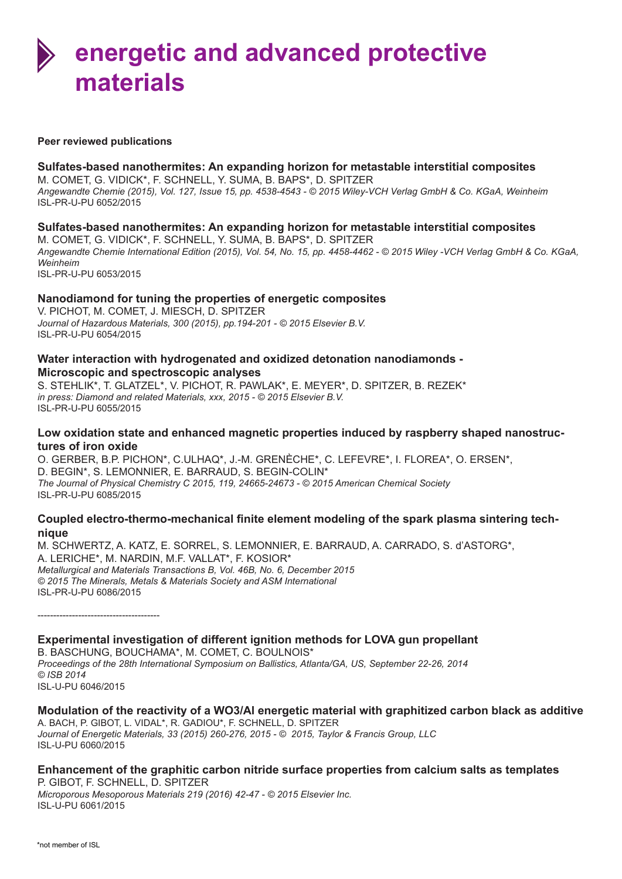#### **Peer reviewed publications**

### **Sulfates-based nanothermites: An expanding horizon for metastable interstitial composites**

M. COMET, G. VIDICK\*, F. SCHNELL, Y. SUMA, B. BAPS\*, D. SPITZER *Angewandte Chemie (2015), Vol. 127, Issue 15, pp. 4538-4543 - © 2015 Wiley-VCH Verlag GmbH & Co. KGaA, Weinheim* ISL-PR-U-PU 6052/2015

# **Sulfates-based nanothermites: An expanding horizon for metastable interstitial composites**

M. COMET, G. VIDICK\*, F. SCHNELL, Y. SUMA, B. BAPS\*, D. SPITZER *Angewandte Chemie International Edition (2015), Vol. 54, No. 15, pp. 4458-4462 - © 2015 Wiley -VCH Verlag GmbH & Co. KGaA, Weinheim* ISL-PR-U-PU 6053/2015

# **Nanodiamond for tuning the properties of energetic composites**

V. PICHOT, M. COMET, J. MIESCH, D. SPITZER *Journal of Hazardous Materials, 300 (2015), pp.194-201 - © 2015 Elsevier B.V.* ISL-PR-U-PU 6054/2015

### **Water interaction with hydrogenated and oxidized detonation nanodiamonds - Microscopic and spectroscopic analyses**

S. STEHLIK\*, T. GLATZEL\*, V. PICHOT, R. PAWLAK\*, E. MEYER\*, D. SPITZER, B. REZEK\* *in press: Diamond and related Materials, xxx, 2015 - © 2015 Elsevier B.V.*  ISL-PR-U-PU 6055/2015

### **Low oxidation state and enhanced magnetic properties induced by raspberry shaped nanostructures of iron oxide**

O. GERBER, B.P. PICHON\*, C.ULHAQ\*, J.-M. GRENÈCHE\*, C. LEFEVRE\*, I. FLOREA\*, O. ERSEN\*, D. BEGIN\*, S. LEMONNIER, E. BARRAUD, S. BEGIN-COLIN\* *The Journal of Physical Chemistry C 2015, 119, 24665-24673 - © 2015 American Chemical Society* ISL-PR-U-PU 6085/2015

### **Coupled electro-thermo-mechanical finite element modeling of the spark plasma sintering technique**

M. SCHWERTZ, A. KATZ, E. SORREL, S. LEMONNIER, E. BARRAUD, A. CARRADO, S. d'ASTORG\*, A. LERICHE\*, M. NARDIN, M.F. VALLAT\*, F. KOSIOR\* *Metallurgical and Materials Transactions B, Vol. 46B, No. 6, December 2015 © 2015 The Minerals, Metals & Materials Society and ASM International* ISL-PR-U-PU 6086/2015

---------------------------------------

**Experimental investigation of different ignition methods for LOVA gun propellant** B. BASCHUNG, BOUCHAMA\*, M. COMET, C. BOULNOIS\* *Proceedings of the 28th International Symposium on Ballistics, Atlanta/GA, US, September 22-26, 2014 © ISB 2014* ISL-U-PU 6046/2015

#### **Modulation of the reactivity of a WO3/Al energetic material with graphitized carbon black as additive** A. BACH, P. GIBOT, L. VIDAL\*, R. GADIOU\*, F. SCHNELL, D. SPITZER *Journal of Energetic Materials, 33 (2015) 260-276, 2015 - © 2015, Taylor & Francis Group, LLC* ISL-U-PU 6060/2015

# **Enhancement of the graphitic carbon nitride surface properties from calcium salts as templates**

P. GIBOT, F. SCHNELL, D. SPITZER *Microporous Mesoporous Materials 219 (2016) 42-47 - © 2015 Elsevier Inc.* ISL-U-PU 6061/2015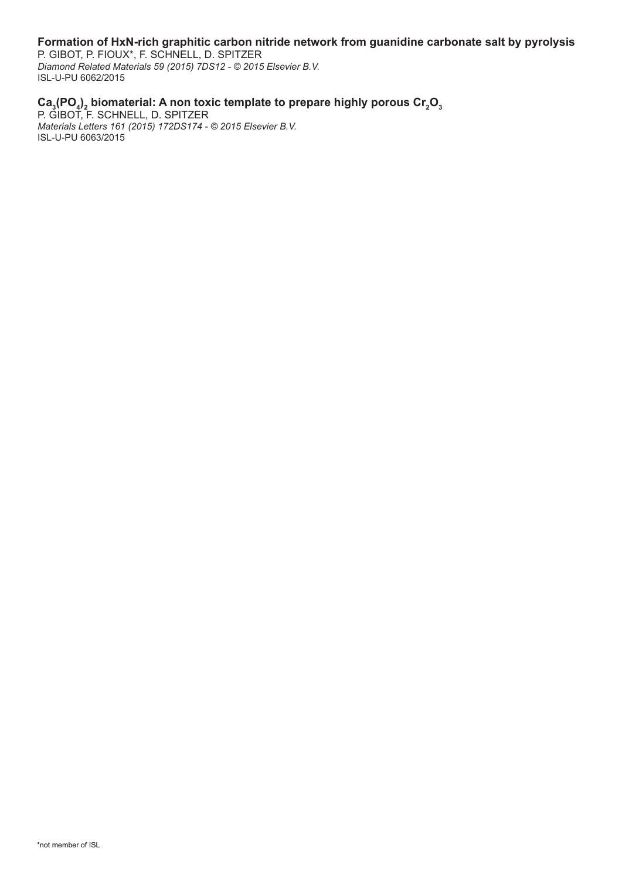# **Formation of HxN-rich graphitic carbon nitride network from guanidine carbonate salt by pyrolysis**

P. GIBOT, P. FIOUX\*, F. SCHNELL, D. SPITZER *Diamond Related Materials 59 (2015) 7DS12 - © 2015 Elsevier B.V.* ISL-U-PU 6062/2015

# Ca<sub>3</sub>(PO<sub>4</sub>), biomaterial: A non toxic template to prepare highly porous Cr<sub>2</sub>O<sub>3</sub>

P. GIBOT, F. SCHNELL, D. SPITZER *Materials Letters 161 (2015) 172DS174 - © 2015 Elsevier B.V.* ISL-U-PU 6063/2015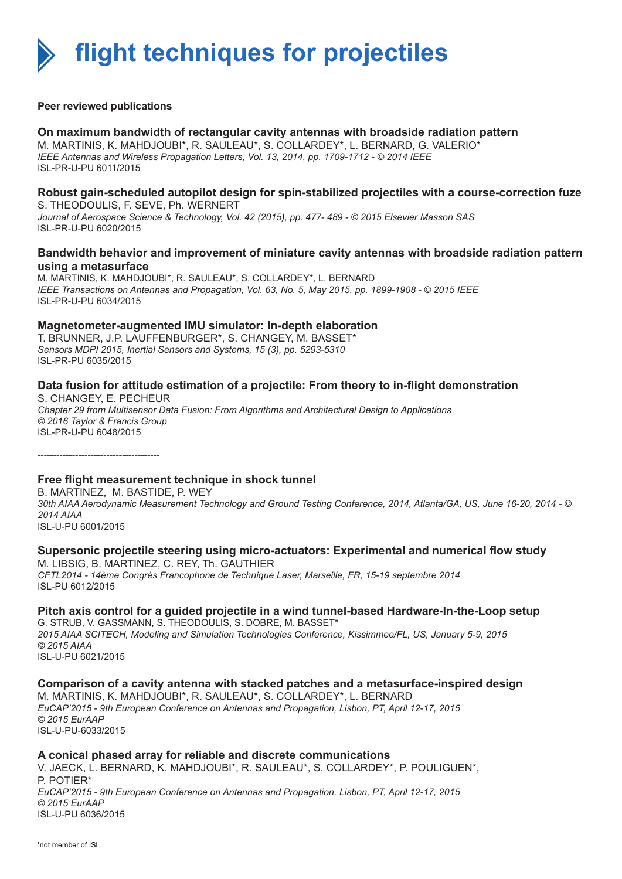

#### **Peer reviewed publications**

### **On maximum bandwidth of rectangular cavity antennas with broadside radiation pattern**

M. MARTINIS, K. MAHDJOUBI\*, R. SAULEAU\*, S. COLLARDEY\*, L. BERNARD, G. VALERIO\* *IEEE Antennas and Wireless Propagation Letters, Vol. 13, 2014, pp. 1709-1712 - © 2014 IEEE* ISL-PR-U-PU 6011/2015

#### **Robust gain-scheduled autopilot design for spin-stabilized projectiles with a course-correction fuze** S. THEODOULIS, F. SEVE, Ph. WERNERT

*Journal of Aerospace Science & Technology, Vol. 42 (2015), pp. 477- 489 - © 2015 Elsevier Masson SAS* ISL-PR-U-PU 6020/2015

### **Bandwidth behavior and improvement of miniature cavity antennas with broadside radiation pattern using a metasurface**

M. MARTINIS, K. MAHDJOUBI\*, R. SAULEAU\*, S. COLLARDEY\*, L. BERNARD *IEEE Transactions on Antennas and Propagation, Vol. 63, No. 5, May 2015, pp. 1899-1908 - © 2015 IEEE* ISL-PR-U-PU 6034/2015

### **Magnetometer-augmented IMU simulator: In-depth elaboration**

T. BRUNNER, J.P. LAUFFENBURGER\*, S. CHANGEY, M. BASSET\* *Sensors MDPI 2015, Inertial Sensors and Systems, 15 (3), pp. 5293-5310* ISL-PR-PU 6035/2015

# **Data fusion for attitude estimation of a projectile: From theory to in-flight demonstration**

S. CHANGEY, E. PECHEUR *Chapter 29 from Multisensor Data Fusion: From Algorithms and Architectural Design to Applications © 2016 Taylor & Francis Group* ISL-PR-U-PU 6048/2015

---------------------------------------

### **Free flight measurement technique in shock tunnel**

B. MARTINEZ, M. BASTIDE, P. WEY *30th AIAA Aerodynamic Measurement Technology and Ground Testing Conference, 2014, Atlanta/GA, US, June 16-20, 2014 - © 2014 AIAA* ISL-U-PU 6001/2015

# **Supersonic projectile steering using micro-actuators: Experimental and numerical flow study**

M. LIBSIG, B. MARTINEZ, C. REY, Th. GAUTHIER *CFTL2014 - 14ème Congrès Francophone de Technique Laser, Marseille, FR, 15-19 septembre 2014* ISL-PU 6012/2015

# **Pitch axis control for a guided projectile in a wind tunnel-based Hardware-In-the-Loop setup**

G. STRUB, V. GASSMANN, S. THEODOULIS, S. DOBRE, M. BASSET\* *2015 AIAA SCITECH, Modeling and Simulation Technologies Conference, Kissimmee/FL, US, January 5-9, 2015 © 2015 AIAA* ISL-U-PU 6021/2015

### **Comparison of a cavity antenna with stacked patches and a metasurface-inspired design**

M. MARTINIS, K. MAHDJOUBI\*, R. SAULEAU\*, S. COLLARDEY\*, L. BERNARD *EuCAP'2015 - 9th European Conference on Antennas and Propagation, Lisbon, PT, April 12-17, 2015 © 2015 EurAAP* ISL-U-PU-6033/2015

### **A conical phased array for reliable and discrete communications**

V. JAECK, L. BERNARD, K. MAHDJOUBI\*, R. SAULEAU\*, S. COLLARDEY\*, P. POULIGUEN\*, P. POTIER\* *EuCAP'2015 - 9th European Conference on Antennas and Propagation, Lisbon, PT, April 12-17, 2015 © 2015 EurAAP* ISL-U-PU 6036/2015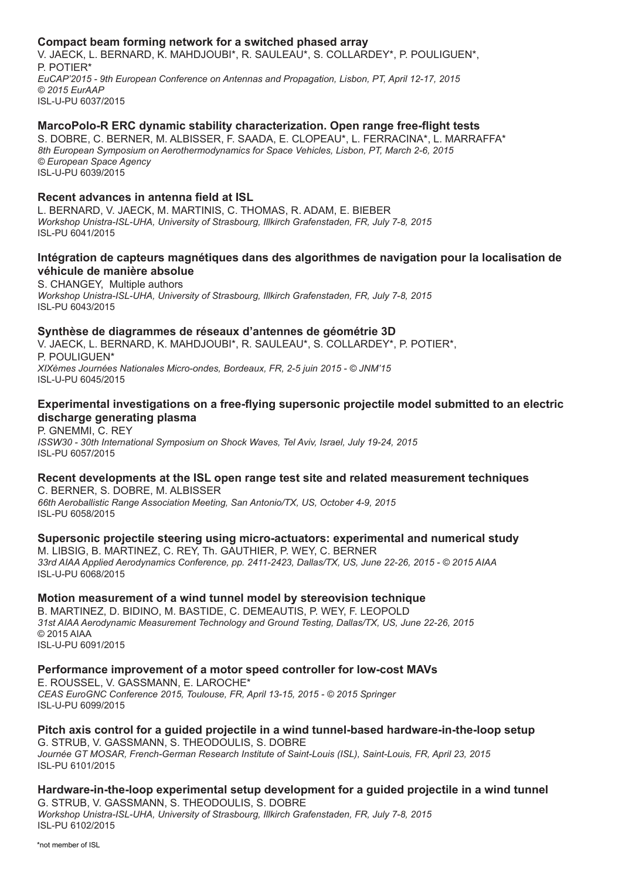### **Compact beam forming network for a switched phased array**

V. JAECK, L. BERNARD, K. MAHDJOUBI\*, R. SAULEAU\*, S. COLLARDEY\*, P. POULIGUEN\*, P. POTIER\* *EuCAP'2015 - 9th European Conference on Antennas and Propagation, Lisbon, PT, April 12-17, 2015 © 2015 EurAAP* ISL-U-PU 6037/2015

# **MarcoPolo-R ERC dynamic stability characterization. Open range free-flight tests**

S. DOBRE, C. BERNER, M. ALBISSER, F. SAADA, E. CLOPEAU\*, L. FERRACINA\*, L. MARRAFFA\* *8th European Symposium on Aerothermodynamics for Space Vehicles, Lisbon, PT, March 2-6, 2015 © European Space Agency* ISL-U-PU 6039/2015

# **Recent advances in antenna field at ISL**

L. BERNARD, V. JAECK, M. MARTINIS, C. THOMAS, R. ADAM, E. BIEBER *Workshop Unistra-ISL-UHA, University of Strasbourg, Illkirch Grafenstaden, FR, July 7-8, 2015* ISL-PU 6041/2015

# **Intégration de capteurs magnétiques dans des algorithmes de navigation pour la localisation de véhicule de manière absolue**

S. CHANGEY, Multiple authors *Workshop Unistra-ISL-UHA, University of Strasbourg, Illkirch Grafenstaden, FR, July 7-8, 2015* ISL-PU 6043/2015

### **Synthèse de diagrammes de réseaux d'antennes de géométrie 3D**

V. JAECK, L. BERNARD, K. MAHDJOUBI\*, R. SAULEAU\*, S. COLLARDEY\*, P. POTIER\*, P. POULIGUEN\* *XIXèmes Journées Nationales Micro-ondes, Bordeaux, FR, 2-5 juin 2015 - © JNM'15*  ISL-U-PU 6045/2015

### **Experimental investigations on a free-flying supersonic projectile model submitted to an electric discharge generating plasma**

P. GNEMMI, C. REY *ISSW30 - 30th International Symposium on Shock Waves, Tel Aviv, Israel, July 19-24, 2015* ISL-PU 6057/2015

#### **Recent developments at the ISL open range test site and related measurement techniques** C. BERNER, S. DOBRE, M. ALBISSER

*66th Aeroballistic Range Association Meeting, San Antonio/TX, US, October 4-9, 2015* ISL-PU 6058/2015

**Supersonic projectile steering using micro-actuators: experimental and numerical study** M. LIBSIG, B. MARTINEZ, C. REY, Th. GAUTHIER, P. WEY, C. BERNER *33rd AIAA Applied Aerodynamics Conference, pp. 2411-2423, Dallas/TX, US, June 22-26, 2015 - © 2015 AIAA* ISL-U-PU 6068/2015

### **Motion measurement of a wind tunnel model by stereovision technique**

B. MARTINEZ, D. BIDINO, M. BASTIDE, C. DEMEAUTIS, P. WEY, F. LEOPOLD *31st AIAA Aerodynamic Measurement Technology and Ground Testing, Dallas/TX, US, June 22-26, 2015* © 2015 AIAA ISL-U-PU 6091/2015

### **Performance improvement of a motor speed controller for low-cost MAVs**

E. ROUSSEL, V. GASSMANN, E. LAROCHE\* *CEAS EuroGNC Conference 2015, Toulouse, FR, April 13-15, 2015 - © 2015 Springer* ISL-U-PU 6099/2015

### **Pitch axis control for a guided projectile in a wind tunnel-based hardware-in-the-loop setup** G. STRUB, V. GASSMANN, S. THEODOULIS, S. DOBRE

*Journée GT MOSAR, French-German Research Institute of Saint-Louis (ISL), Saint-Louis, FR, April 23, 2015* ISL-PU 6101/2015

# **Hardware-in-the-loop experimental setup development for a guided projectile in a wind tunnel** G. STRUB, V. GASSMANN, S. THEODOULIS, S. DOBRE

*Workshop Unistra-ISL-UHA, University of Strasbourg, Illkirch Grafenstaden, FR, July 7-8, 2015* ISL-PU 6102/2015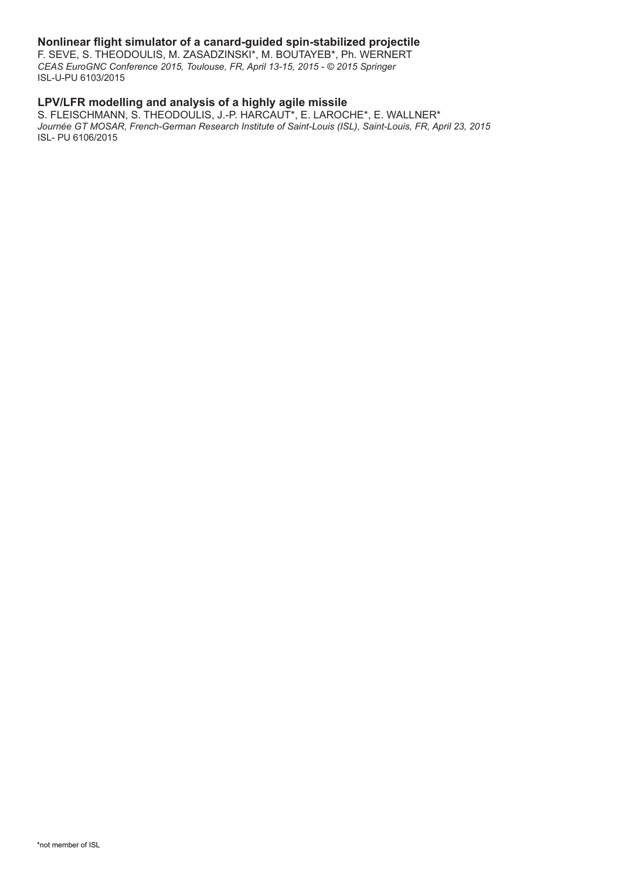# **Nonlinear flight simulator of a canard-guided spin-stabilized projectile**

F. SEVE, S. THEODOULIS, M. ZASADZINSKI\*, M. BOUTAYEB\*, Ph. WERNERT *CEAS EuroGNC Conference 2015, Toulouse, FR, April 13-15, 2015 - © 2015 Springer* ISL-U-PU 6103/2015

# **LPV/LFR modelling and analysis of a highly agile missile**

S. FLEISCHMANN, S. THEODOULIS, J.-P. HARCAUT\*, E. LAROCHE\*, E. WALLNER\* *Journée GT MOSAR, French-German Research Institute of Saint-Louis (ISL), Saint-Louis, FR, April 23, 2015* ISL- PU 6106/2015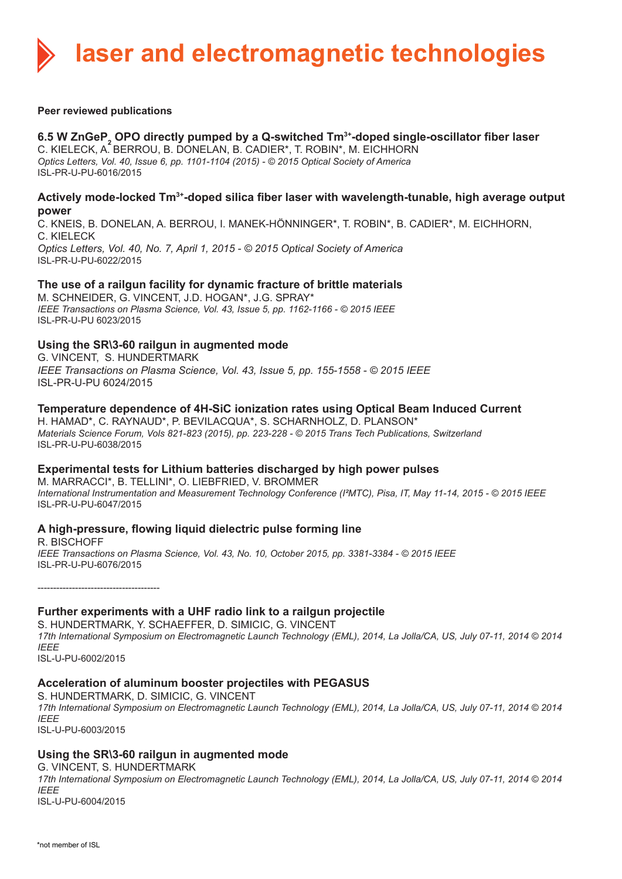**laser and electromagnetic technologies**

#### **Peer reviewed publications**

# **6.5 W ZnGeP<sub>2</sub> OPO directly pumped by a Q-switched Tm<sup>3+</sup>-doped single-oscillator fiber laser**

C. KIELECK, A. BERROU, B. DONELAN, B. CADIER\*, T. ROBIN\*, M. EICHHORN *Optics Letters, Vol. 40, Issue 6, pp. 1101-1104 (2015) - © 2015 Optical Society of America* ISL-PR-U-PU-6016/2015

### **Actively mode-locked Tm3+-doped silica fiber laser with wavelength-tunable, high average output power**

C. KNEIS, B. DONELAN, A. BERROU, I. MANEK-HÖNNINGER\*, T. ROBIN\*, B. CADIER\*, M. EICHHORN, C. KIELECK *Optics Letters, Vol. 40, No. 7, April 1, 2015 - © 2015 Optical Society of America* ISL-PR-U-PU-6022/2015

# **The use of a railgun facility for dynamic fracture of brittle materials**

M. SCHNEIDER, G. VINCENT, J.D. HOGAN\*, J.G. SPRAY\* *IEEE Transactions on Plasma Science, Vol. 43, Issue 5, pp. 1162-1166 - © 2015 IEEE* ISL-PR-U-PU 6023/2015

### **Using the SR\3-60 railgun in augmented mode**

G. VINCENT, S. HUNDERTMARK *IEEE Transactions on Plasma Science, Vol. 43, Issue 5, pp. 155-1558 - © 2015 IEEE* ISL-PR-U-PU 6024/2015

### **Temperature dependence of 4H-SiC ionization rates using Optical Beam Induced Current**

H. HAMAD\*, C. RAYNAUD\*, P. BEVILACQUA\*, S. SCHARNHOLZ, D. PLANSON\* *Materials Science Forum, Vols 821-823 (2015), pp. 223-228 - © 2015 Trans Tech Publications, Switzerland* ISL-PR-U-PU-6038/2015

### **Experimental tests for Lithium batteries discharged by high power pulses**

M. MARRACCI\*, B. TELLINI\*, O. LIEBFRIED, V. BROMMER *International Instrumentation and Measurement Technology Conference (I²MTC), Pisa, IT, May 11-14, 2015 - © 2015 IEEE*  ISL-PR-U-PU-6047/2015

# **A high-pressure, flowing liquid dielectric pulse forming line**

R. BISCHOFF *IEEE Transactions on Plasma Science, Vol. 43, No. 10, October 2015, pp. 3381-3384 - © 2015 IEEE* ISL-PR-U-PU-6076/2015

---------------------------------------

# **Further experiments with a UHF radio link to a railgun projectile**

S. HUNDERTMARK, Y. SCHAEFFER, D. SIMICIC, G. VINCENT *17th International Symposium on Electromagnetic Launch Technology (EML), 2014, La Jolla/CA, US, July 07-11, 2014 © 2014 IEEE* ISL-U-PU-6002/2015

# **Acceleration of aluminum booster projectiles with PEGASUS**

S. HUNDERTMARK, D. SIMICIC, G. VINCENT *17th International Symposium on Electromagnetic Launch Technology (EML), 2014, La Jolla/CA, US, July 07-11, 2014 © 2014 IEEE* ISL-U-PU-6003/2015

# **Using the SR\3-60 railgun in augmented mode**

G. VINCENT, S. HUNDERTMARK *17th International Symposium on Electromagnetic Launch Technology (EML), 2014, La Jolla/CA, US, July 07-11, 2014 © 2014 IEEE* ISL-U-PU-6004/2015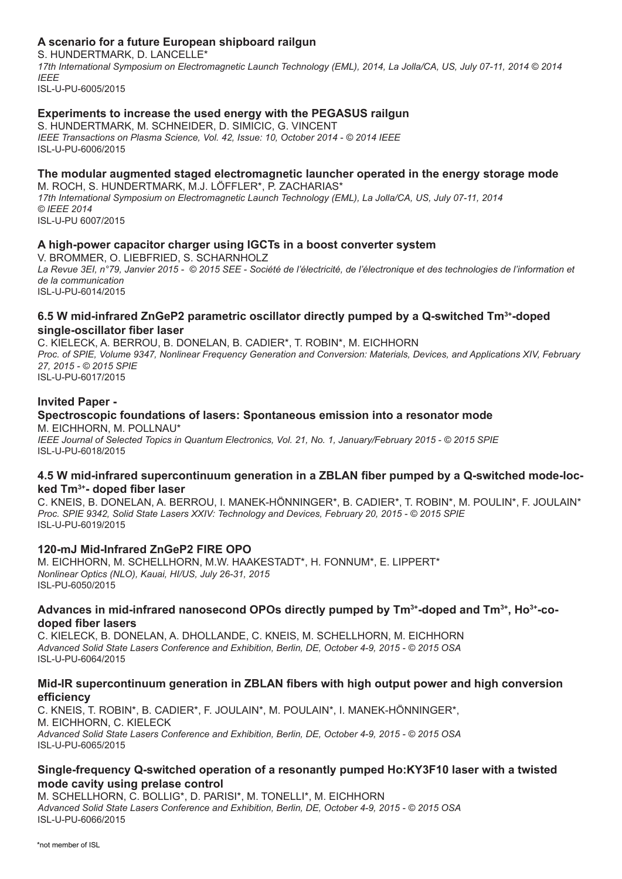# **A scenario for a future European shipboard railgun**

S. HUNDERTMARK, D. LANCELLE\* *17th International Symposium on Electromagnetic Launch Technology (EML), 2014, La Jolla/CA, US, July 07-11, 2014 © 2014 IEEE* ISL-U-PU-6005/2015

# **Experiments to increase the used energy with the PEGASUS railgun**

S. HUNDERTMARK, M. SCHNEIDER, D. SIMICIC, G. VINCENT *IEEE Transactions on Plasma Science, Vol. 42, Issue: 10, October 2014 - © 2014 IEEE* ISL-U-PU-6006/2015

# **The modular augmented staged electromagnetic launcher operated in the energy storage mode**

M. ROCH, S. HUNDERTMARK, M.J. LÖFFLER\*, P. ZACHARIAS\* *17th International Symposium on Electromagnetic Launch Technology (EML), La Jolla/CA, US, July 07-11, 2014 © IEEE 2014* ISL-U-PU 6007/2015

# **A high-power capacitor charger using IGCTs in a boost converter system**

V. BROMMER, O. LIEBFRIED, S. SCHARNHOLZ La Revue 3EI, n°79, Janvier 2015 - © 2015 SEE - Société de l'électricité, de l'électronique et des technologies de l'information et *de la communication* ISL-U-PU-6014/2015

### **6.5 W mid-infrared ZnGeP2 parametric oscillator directly pumped by a Q-switched Tm3+-doped single-oscillator fiber laser**

C. KIELECK, A. BERROU, B. DONELAN, B. CADIER\*, T. ROBIN\*, M. EICHHORN *Proc. of SPIE, Volume 9347, Nonlinear Frequency Generation and Conversion: Materials, Devices, and Applications XIV, February 27, 2015 - © 2015 SPIE* ISL-U-PU-6017/2015

### **Invited Paper -**

#### **Spectroscopic foundations of lasers: Spontaneous emission into a resonator mode** M. EICHHORN, M. POLLNAU\*

*IEEE Journal of Selected Topics in Quantum Electronics, Vol. 21, No. 1, January/February 2015 - © 2015 SPIE* ISL-U-PU-6018/2015

### **4.5 W mid-infrared supercontinuum generation in a ZBLAN fiber pumped by a Q-switched mode-locked Tm3+- doped fiber laser**

C. KNEIS, B. DONELAN, A. BERROU, I. MANEK-HÖNNINGER\*, B. CADIER\*, T. ROBIN\*, M. POULIN\*, F. JOULAIN\* *Proc. SPIE 9342, Solid State Lasers XXIV: Technology and Devices, February 20, 2015 - © 2015 SPIE* ISL-U-PU-6019/2015

### **120-mJ Mid-Infrared ZnGeP2 FIRE OPO**

M. EICHHORN, M. SCHELLHORN, M.W. HAAKESTADT\*, H. FONNUM\*, E. LIPPERT\* *Nonlinear Optics (NLO), Kauai, HI/US, July 26-31, 2015* ISL-PU-6050/2015

### **Advances in mid-infrared nanosecond OPOs directly pumped by Tm3+-doped and Tm3+, Ho3+-codoped fiber lasers**

C. KIELECK, B. DONELAN, A. DHOLLANDE, C. KNEIS, M. SCHELLHORN, M. EICHHORN *Advanced Solid State Lasers Conference and Exhibition, Berlin, DE, October 4-9, 2015 - © 2015 OSA* ISL-U-PU-6064/2015

# **Mid-IR supercontinuum generation in ZBLAN fibers with high output power and high conversion efficiency**

C. KNEIS, T. ROBIN\*, B. CADIER\*, F. JOULAIN\*, M. POULAIN\*, I. MANEK-HÖNNINGER\*, M. EICHHORN, C. KIELECK *Advanced Solid State Lasers Conference and Exhibition, Berlin, DE, October 4-9, 2015 - © 2015 OSA* ISL-U-PU-6065/2015

# **Single-frequency Q-switched operation of a resonantly pumped Ho:KY3F10 laser with a twisted mode cavity using prelase control**

M. SCHELLHORN, C. BOLLIG\*, D. PARISI\*, M. TONELLI\*, M. EICHHORN *Advanced Solid State Lasers Conference and Exhibition, Berlin, DE, October 4-9, 2015 - © 2015 OSA* ISL-U-PU-6066/2015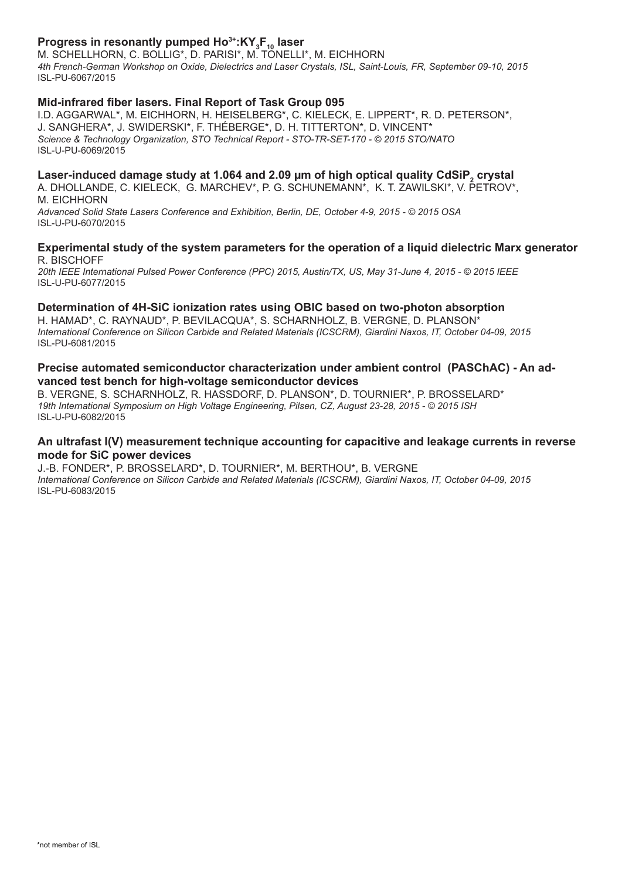# **Progress in resonantly pumped Ho<sup>3+</sup>:KY<sub>3</sub>F<sub>10</sub> laser**

M. SCHELLHORN, C. BOLLIG\*, D. PARISI\*, M. TÖNELLI\*, M. EICHHORN *4th French-German Workshop on Oxide, Dielectrics and Laser Crystals, ISL, Saint-Louis, FR, September 09-10, 2015* ISL-PU-6067/2015

# **Mid-infrared fiber lasers. Final Report of Task Group 095**

I.D. AGGARWAL\*, M. EICHHORN, H. HEISELBERG\*, C. KIELECK, E. LIPPERT\*, R. D. PETERSON\*, J. SANGHERA\*, J. SWIDERSKI\*, F. THÉBERGE\*, D. H. TITTERTON\*, D. VINCENT\* *Science & Technology Organization, STO Technical Report - STO-TR-SET-170 - © 2015 STO/NATO* ISL-U-PU-6069/2015

# Laser-induced damage study at 1.064 and 2.09 µm of high optical quality CdSiP<sub>2</sub> crystal

A. DHOLLANDE, C. KIELECK, G. MARCHEV\*, P. G. SCHUNEMANN\*, K. T. ZAWILSKI\*, V. PETROV\*, M. EICHHORN *Advanced Solid State Lasers Conference and Exhibition, Berlin, DE, October 4-9, 2015 - © 2015 OSA*

ISL-U-PU-6070/2015

### **Experimental study of the system parameters for the operation of a liquid dielectric Marx generator** R. BISCHOFF

*20th IEEE International Pulsed Power Conference (PPC) 2015, Austin/TX, US, May 31-June 4, 2015 - © 2015 IEEE* ISL-U-PU-6077/2015

# **Determination of 4H-SiC ionization rates using OBIC based on two-photon absorption**

H. HAMAD\*, C. RAYNAUD\*, P. BEVILACQUA\*, S. SCHARNHOLZ, B. VERGNE, D. PLANSON\* *International Conference on Silicon Carbide and Related Materials (ICSCRM), Giardini Naxos, IT, October 04-09, 2015* ISL-PU-6081/2015

### **Precise automated semiconductor characterization under ambient control (PASChAC) - An advanced test bench for high-voltage semiconductor devices**

B. VERGNE, S. SCHARNHOLZ, R. HASSDORF, D. PLANSON\*, D. TOURNIER\*, P. BROSSELARD\* *19th International Symposium on High Voltage Engineering, Pilsen, CZ, August 23-28, 2015 - © 2015 ISH*  ISL-U-PU-6082/2015

### **An ultrafast I(V) measurement technique accounting for capacitive and leakage currents in reverse mode for SiC power devices**

J.-B. FONDER\*, P. BROSSELARD\*, D. TOURNIER\*, M. BERTHOU\*, B. VERGNE *International Conference on Silicon Carbide and Related Materials (ICSCRM), Giardini Naxos, IT, October 04-09, 2015*  ISL-PU-6083/2015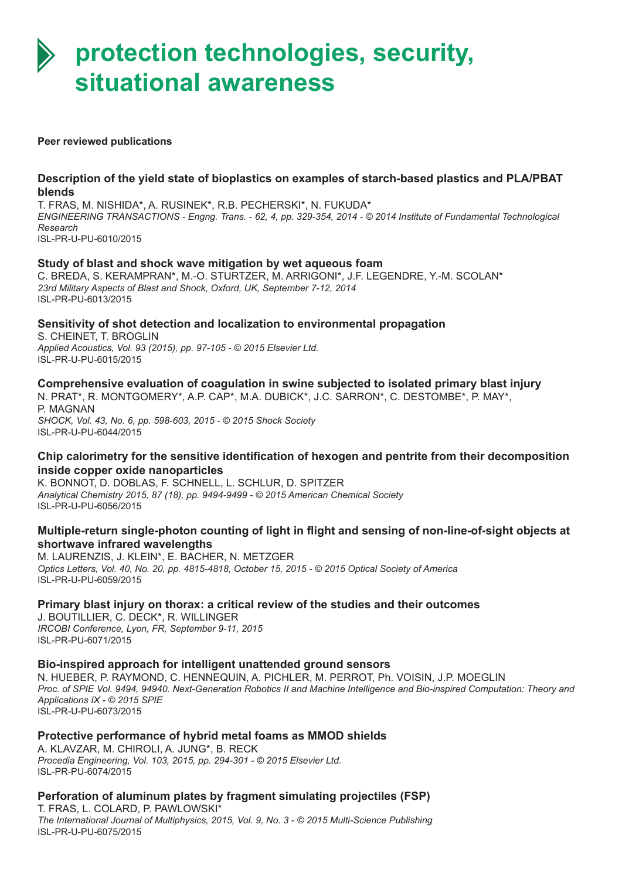# **protection technologies, security, situational awareness**

#### **Peer reviewed publications**

ISL-PR-U-PU-6044/2015

### **Description of the yield state of bioplastics on examples of starch-based plastics and PLA/PBAT blends**

T. FRAS, M. NISHIDA\*, A. RUSINEK\*, R.B. PECHERSKI\*, N. FUKUDA\* *ENGINEERING TRANSACTIONS - Engng. Trans. - 62, 4, pp. 329-354, 2014 - © 2014 Institute of Fundamental Technological Research* ISL-PR-U-PU-6010/2015

### **Study of blast and shock wave mitigation by wet aqueous foam**

C. BREDA, S. KERAMPRAN\*, M.-O. STURTZER, M. ARRIGONI\*, J.F. LEGENDRE, Y.-M. SCOLAN\* *23rd Military Aspects of Blast and Shock, Oxford, UK, September 7-12, 2014* ISL-PR-PU-6013/2015

# **Sensitivity of shot detection and localization to environmental propagation**

S. CHEINET, T. BROGLIN *Applied Acoustics, Vol. 93 (2015), pp. 97-105 - © 2015 Elsevier Ltd.* ISL-PR-U-PU-6015/2015

# **Comprehensive evaluation of coagulation in swine subjected to isolated primary blast injury**

N. PRAT\*, R. MONTGOMERY\*, A.P. CAP\*, M.A. DUBICK\*, J.C. SARRON\*, C. DESTOMBE\*, P. MAY\*, P. MAGNAN *SHOCK, Vol. 43, No. 6, pp. 598-603, 2015 - © 2015 Shock Society*

# **Chip calorimetry for the sensitive identification of hexogen and pentrite from their decomposition inside copper oxide nanoparticles**

K. BONNOT, D. DOBLAS, F. SCHNELL, L. SCHLUR, D. SPITZER *Analytical Chemistry 2015, 87 (18), pp. 9494-9499 - © 2015 American Chemical Society* ISL-PR-U-PU-6056/2015

# **Multiple-return single-photon counting of light in flight and sensing of non-line-of-sight objects at shortwave infrared wavelengths**

M. LAURENZIS, J. KLEIN\*, E. BACHER, N. METZGER *Optics Letters, Vol. 40, No. 20, pp. 4815-4818, October 15, 2015 - © 2015 Optical Society of America* ISL-PR-U-PU-6059/2015

# **Primary blast injury on thorax: a critical review of the studies and their outcomes**

J. BOUTILLIER, C. DECK\*, R. WILLINGER *IRCOBI Conference, Lyon, FR, September 9-11, 2015* ISL-PR-PU-6071/2015

### **Bio-inspired approach for intelligent unattended ground sensors**

N. HUEBER, P. RAYMOND, C. HENNEQUIN, A. PICHLER, M. PERROT, Ph. VOISIN, J.P. MOEGLIN *Proc. of SPIE Vol. 9494, 94940. Next-Generation Robotics II and Machine Intelligence and Bio-inspired Computation: Theory and Applications IX - © 2015 SPIE* ISL-PR-U-PU-6073/2015

# **Protective performance of hybrid metal foams as MMOD shields**

A. KLAVZAR, M. CHIROLI, A. JUNG\*, B. RECK *Procedia Engineering, Vol. 103, 2015, pp. 294-301 - © 2015 Elsevier Ltd.* ISL-PR-PU-6074/2015

# **Perforation of aluminum plates by fragment simulating projectiles (FSP)** T. FRAS, L. COLARD, P. PAWLOWSKI\*

*The International Journal of Multiphysics, 2015, Vol. 9, No. 3 - © 2015 Multi-Science Publishing* ISL-PR-U-PU-6075/2015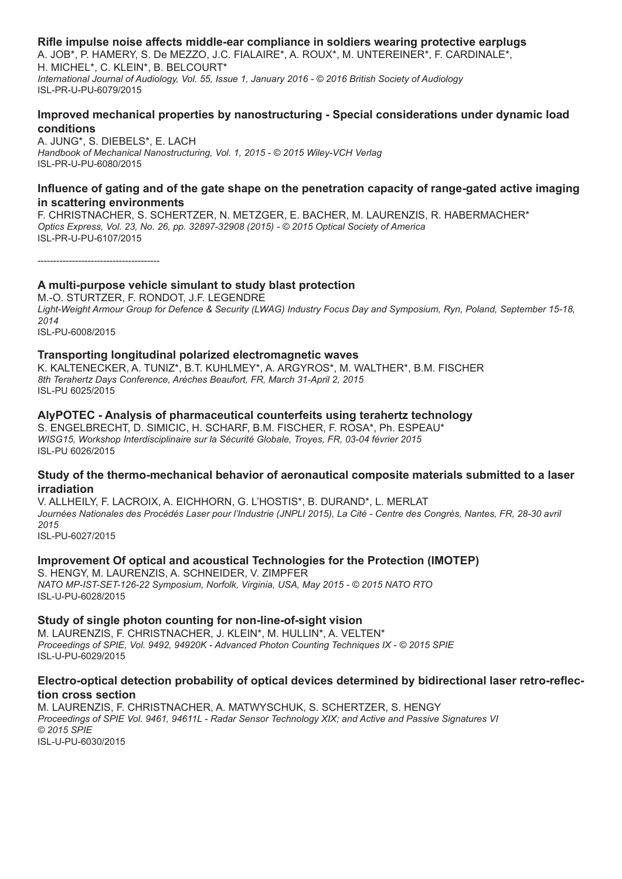### **Rifle impulse noise affects middle-ear compliance in soldiers wearing protective earplugs**

A. JOB\*, P. HAMERY, S. De MEZZO, J.C. FIALAIRE\*, A. ROUX\*, M. UNTEREINER\*, F. CARDINALE\*, H. MICHEL\*, C. KLEIN\*, B. BELCOURT\* *International Journal of Audiology, Vol. 55, Issue 1, January 2016 - © 2016 British Society of Audiology* ISL-PR-U-PU-6079/2015

# **Improved mechanical properties by nanostructuring - Special considerations under dynamic load conditions**

A. JUNG\*, S. DIEBELS\*, E. LACH *Handbook of Mechanical Nanostructuring, Vol. 1, 2015 - © 2015 Wiley-VCH Verlag* ISL-PR-U-PU-6080/2015

# **Influence of gating and of the gate shape on the penetration capacity of range-gated active imaging in scattering environments**

F. CHRISTNACHER, S. SCHERTZER, N. METZGER, E. BACHER, M. LAURENZIS, R. HABERMACHER\* *Optics Express, Vol. 23, No. 26, pp. 32897-32908 (2015) - © 2015 Optical Society of America* ISL-PR-U-PU-6107/2015

---------------------------------------

# **A multi-purpose vehicle simulant to study blast protection**

M.-O. STURTZER, F. RONDOT, J.F. LEGENDRE *Light-Weight Armour Group for Defence & Security (LWAG) Industry Focus Day and Symposium, Ryn, Poland, September 15-18, 2014* ISL-PU-6008/2015

# **Transporting longitudinal polarized electromagnetic waves**

K. KALTENECKER, A. TUNIZ\*, B.T. KUHLMEY\*, A. ARGYROS\*, M. WALTHER\*, B.M. FISCHER *8th Terahertz Days Conference, Arèches Beaufort, FR, March 31-April 2, 2015* ISL-PU 6025/2015

# **AlyPOTEC - Analysis of pharmaceutical counterfeits using terahertz technology**

S. ENGELBRECHT, D. SIMICIC, H. SCHARF, B.M. FISCHER, F. ROSA\*, Ph. ESPEAU\* *WISG15, Workshop Interdisciplinaire sur la Sécurité Globale, Troyes, FR, 03-04 février 2015* ISL-PU 6026/2015

### **Study of the thermo-mechanical behavior of aeronautical composite materials submitted to a laser irradiation**

V. ALLHEILY, F. LACROIX, A. EICHHORN, G. L'HOSTIS\*, B. DURAND\*, L. MERLAT Journées Nationales des Procédés Laser pour l'Industrie (JNPLI 2015), La Cité - Centre des Congrès, Nantes, FR, 28-30 avril *2015* ISL-PU-6027/2015

### **Improvement Of optical and acoustical Technologies for the Protection (IMOTEP)**

S. HENGY, M. LAURENZIS, A. SCHNEIDER, V. ZIMPFER *NATO MP-IST-SET-126-22 Symposium, Norfolk, Virginia, USA, May 2015 - © 2015 NATO RTO* ISL-U-PU-6028/2015

### **Study of single photon counting for non-line-of-sight vision**

M. LAURENZIS, F. CHRISTNACHER, J. KLEIN\*, M. HULLIN\*, A. VELTEN\* *Proceedings of SPIE, Vol. 9492, 94920K - Advanced Photon Counting Techniques IX - © 2015 SPIE* ISL-U-PU-6029/2015

### **Electro-optical detection probability of optical devices determined by bidirectional laser retro-reflection cross section**

M. LAURENZIS, F. CHRISTNACHER, A. MATWYSCHUK, S. SCHERTZER, S. HENGY *Proceedings of SPIE Vol. 9461, 94611L - Radar Sensor Technology XIX; and Active and Passive Signatures VI © 2015 SPIE* ISL-U-PU-6030/2015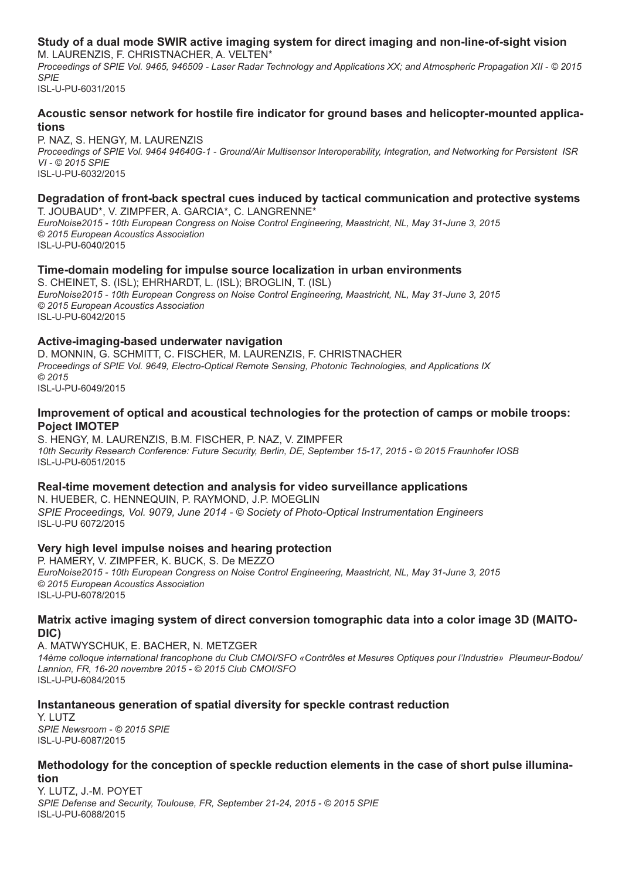# **Study of a dual mode SWIR active imaging system for direct imaging and non-line-of-sight vision**

M. LAURENZIS, F. CHRISTNACHER, A. VELTEN\* *Proceedings of SPIE Vol. 9465, 946509 - Laser Radar Technology and Applications XX; and Atmospheric Propagation XII - © 2015 SPIE* ISL-U-PU-6031/2015

### **Acoustic sensor network for hostile fire indicator for ground bases and helicopter-mounted applications**

P. NAZ, S. HENGY, M. LAURENZIS *Proceedings of SPIE Vol. 9464 94640G-1 - Ground/Air Multisensor Interoperability, Integration, and Networking for Persistent ISR VI - © 2015 SPIE* ISL-U-PU-6032/2015

#### **Degradation of front-back spectral cues induced by tactical communication and protective systems** T. JOUBAUD\*, V. ZIMPFER, A. GARCIA\*, C. LANGRENNE\*

*EuroNoise2015 - 10th European Congress on Noise Control Engineering, Maastricht, NL, May 31-June 3, 2015 © 2015 European Acoustics Association* ISL-U-PU-6040/2015

# **Time-domain modeling for impulse source localization in urban environments**

S. CHEINET, S. (ISL); EHRHARDT, L. (ISL); BROGLIN, T. (ISL) *EuroNoise2015 - 10th European Congress on Noise Control Engineering, Maastricht, NL, May 31-June 3, 2015 © 2015 European Acoustics Association* ISL*-*U-PU-6042/2015

# **Active-imaging-based underwater navigation**

D. MONNIN, G. SCHMITT, C. FISCHER, M. LAURENZIS, F. CHRISTNACHER *Proceedings of SPIE Vol. 9649, Electro-Optical Remote Sensing, Photonic Technologies, and Applications IX © 2015* ISL-U-PU-6049/2015

# **Improvement of optical and acoustical technologies for the protection of camps or mobile troops: Poject IMOTEP**

S. HENGY, M. LAURENZIS, B.M. FISCHER, P. NAZ, V. ZIMPFER *10th Security Research Conference: Future Security, Berlin, DE, September 15-17, 2015 - © 2015 Fraunhofer IOSB* ISL-U-PU-6051/2015

### **Real-time movement detection and analysis for video surveillance applications**

N. HUEBER, C. HENNEQUIN, P. RAYMOND, J.P. MOEGLIN *SPIE Proceedings, Vol. 9079, June 2014 - © Society of Photo-Optical Instrumentation Engineers* ISL-U-PU 6072/2015

### **Very high level impulse noises and hearing protection**

P. HAMERY, V. ZIMPFER, K. BUCK, S. De MEZZO *EuroNoise2015 - 10th European Congress on Noise Control Engineering, Maastricht, NL, May 31-June 3, 2015 © 2015 European Acoustics Association* ISL-U-PU-6078/2015

### **Matrix active imaging system of direct conversion tomographic data into a color image 3D (MAITO-DIC)**

A. MATWYSCHUK, E. BACHER, N. METZGER *14ème colloque international francophone du Club CMOI/SFO «Contrôles et Mesures Optiques pour l'Industrie» Pleumeur-Bodou/ Lannion, FR, 16-20 novembre 2015 - © 2015 Club CMOI/SFO* ISL-U-PU-6084/2015

# **Instantaneous generation of spatial diversity for speckle contrast reduction**

Y. LUTZ *SPIE Newsroom - © 2015 SPIE* ISL-U-PU-6087/2015

### **Methodology for the conception of speckle reduction elements in the case of short pulse illumination**

Y. LUTZ, J.-M. POYET *SPIE Defense and Security, Toulouse, FR, September 21-24, 2015 - © 2015 SPIE* ISL-U-PU-6088/2015